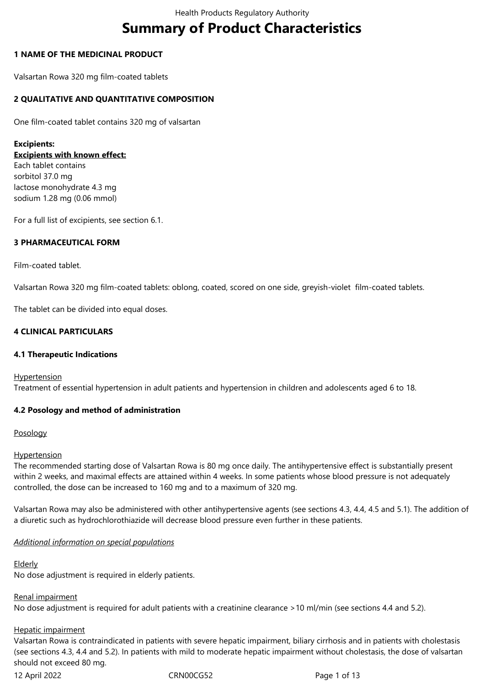# **Summary of Product Characteristics**

# **1 NAME OF THE MEDICINAL PRODUCT**

Valsartan Rowa 320 mg film-coated tablets

# **2 QUALITATIVE AND QUANTITATIVE COMPOSITION**

One film-coated tablet contains 320 mg of valsartan

## **Excipients: Excipients with known effect:** Each tablet contains sorbitol 37.0 mg lactose monohydrate 4.3 mg

sodium 1.28 mg (0.06 mmol)

For a full list of excipients, see section 6.1.

# **3 PHARMACEUTICAL FORM**

Film-coated tablet.

Valsartan Rowa 320 mg film-coated tablets: oblong, coated, scored on one side, greyish-violet film-coated tablets.

The tablet can be divided into equal doses.

# **4 CLINICAL PARTICULARS**

## **4.1 Therapeutic Indications**

**Hypertension** Treatment of essential hypertension in adult patients and hypertension in children and adolescents aged 6 to 18.

# **4.2 Posology and method of administration**

## Posology

## **Hypertension**

The recommended starting dose of Valsartan Rowa is 80 mg once daily. The antihypertensive effect is substantially present within 2 weeks, and maximal effects are attained within 4 weeks. In some patients whose blood pressure is not adequately controlled, the dose can be increased to 160 mg and to a maximum of 320 mg.

Valsartan Rowa may also be administered with other antihypertensive agents (see sections 4.3, 4.4, 4.5 and 5.1). The addition of a diuretic such as hydrochlorothiazide will decrease blood pressure even further in these patients.

*Additional information on special populations*

## **Elderly**

No dose adjustment is required in elderly patients.

Renal impairment

No dose adjustment is required for adult patients with a creatinine clearance >10 ml/min (see sections 4.4 and 5.2).

## Hepatic impairment

Valsartan Rowa is contraindicated in patients with severe hepatic impairment, biliary cirrhosis and in patients with cholestasis (see sections 4.3, 4.4 and 5.2). In patients with mild to moderate hepatic impairment without cholestasis, the dose of valsartan should not exceed 80 mg.

12 April 2022 CRN00CG52 Page 1 of 13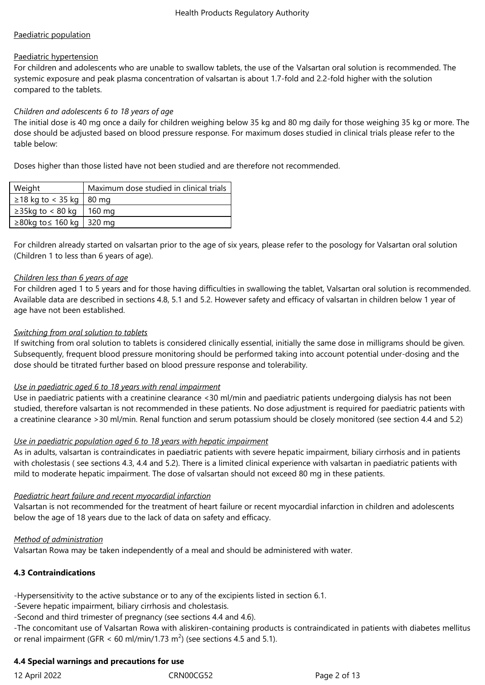# Paediatric population

## Paediatric hypertension

For children and adolescents who are unable to swallow tablets, the use of the Valsartan oral solution is recommended. The systemic exposure and peak plasma concentration of valsartan is about 1.7-fold and 2.2-fold higher with the solution compared to the tablets.

## *Children and adolescents 6 to 18 years of age*

The initial dose is 40 mg once a daily for children weighing below 35 kg and 80 mg daily for those weighing 35 kg or more. The dose should be adjusted based on blood pressure response. For maximum doses studied in clinical trials please refer to the table below:

Doses higher than those listed have not been studied and are therefore not recommended.

| Weight                          | Maximum dose studied in clinical trials |
|---------------------------------|-----------------------------------------|
| $\geq$ 18 kg to < 35 kg   80 mg |                                         |
| $\geq$ 35kg to < 80 kg   160 mg |                                         |
| ≥80kg to ≤ 160 kg   320 mg      |                                         |

For children already started on valsartan prior to the age of six years, please refer to the posology for Valsartan oral solution (Children 1 to less than 6 years of age).

# *Children less than 6 years of age*

For children aged 1 to 5 years and for those having difficulties in swallowing the tablet, Valsartan oral solution is recommended. Available data are described in sections 4.8, 5.1 and 5.2. However safety and efficacy of valsartan in children below 1 year of age have not been established.

# *Switching from oral solution to tablets*

If switching from oral solution to tablets is considered clinically essential, initially the same dose in milligrams should be given. Subsequently, frequent blood pressure monitoring should be performed taking into account potential under-dosing and the dose should be titrated further based on blood pressure response and tolerability.

## *Use in paediatric aged 6 to 18 years with renal impairment*

Use in paediatric patients with a creatinine clearance <30 ml/min and paediatric patients undergoing dialysis has not been studied, therefore valsartan is not recommended in these patients. No dose adjustment is required for paediatric patients with a creatinine clearance >30 ml/min. Renal function and serum potassium should be closely monitored (see section 4.4 and 5.2)

## *Use in paediatric population aged 6 to 18 years with hepatic impairment*

As in adults, valsartan is contraindicates in paediatric patients with severe hepatic impairment, biliary cirrhosis and in patients with cholestasis ( see sections 4.3, 4.4 and 5.2). There is a limited clinical experience with valsartan in paediatric patients with mild to moderate hepatic impairment. The dose of valsartan should not exceed 80 mg in these patients.

# *Paediatric heart failure and recent myocardial infarction*

Valsartan is not recommended for the treatment of heart failure or recent myocardial infarction in children and adolescents below the age of 18 years due to the lack of data on safety and efficacy.

## *Method of administration*

Valsartan Rowa may be taken independently of a meal and should be administered with water.

## **4.3 Contraindications**

-Hypersensitivity to the active substance or to any of the excipients listed in section 6.1.

- -Severe hepatic impairment, biliary cirrhosis and cholestasis.
- -Second and third trimester of pregnancy (see sections 4.4 and 4.6).

*-*The concomitant use of Valsartan Rowa with aliskiren-containing products is contraindicated in patients with diabetes mellitus or renal impairment (GFR < 60 ml/min/1.73 m<sup>2</sup>) (see sections 4.5 and 5.1).

## **4.4 Special warnings and precautions for use**

12 April 2022 CRN00CG52 Page 2 of 13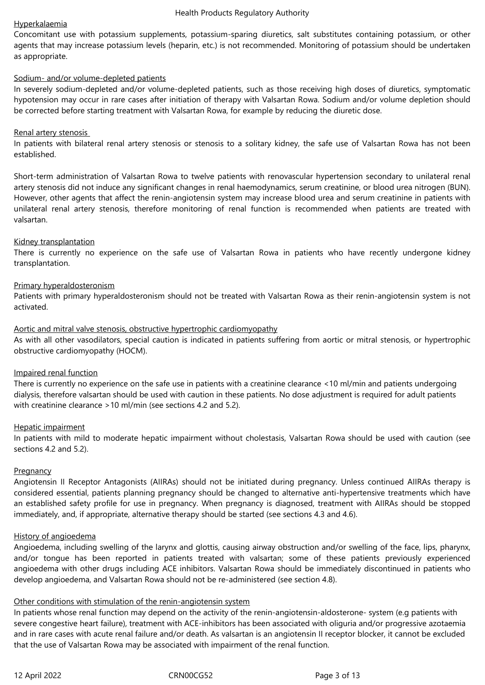#### Hyperkalaemia

Concomitant use with potassium supplements, potassium-sparing diuretics, salt substitutes containing potassium, or other agents that may increase potassium levels (heparin, etc.) is not recommended. Monitoring of potassium should be undertaken as appropriate.

## Sodium- and/or volume-depleted patients

In severely sodium-depleted and/or volume-depleted patients, such as those receiving high doses of diuretics, symptomatic hypotension may occur in rare cases after initiation of therapy with Valsartan Rowa. Sodium and/or volume depletion should be corrected before starting treatment with Valsartan Rowa, for example by reducing the diuretic dose.

#### Renal artery stenosis

In patients with bilateral renal artery stenosis or stenosis to a solitary kidney, the safe use of Valsartan Rowa has not been established.

Short-term administration of Valsartan Rowa to twelve patients with renovascular hypertension secondary to unilateral renal artery stenosis did not induce any significant changes in renal haemodynamics, serum creatinine, or blood urea nitrogen (BUN). However, other agents that affect the renin-angiotensin system may increase blood urea and serum creatinine in patients with unilateral renal artery stenosis, therefore monitoring of renal function is recommended when patients are treated with valsartan.

#### Kidney transplantation

There is currently no experience on the safe use of Valsartan Rowa in patients who have recently undergone kidney transplantation.

#### Primary hyperaldosteronism

Patients with primary hyperaldosteronism should not be treated with Valsartan Rowa as their renin-angiotensin system is not activated.

#### Aortic and mitral valve stenosis, obstructive hypertrophic cardiomyopathy

As with all other vasodilators, special caution is indicated in patients suffering from aortic or mitral stenosis, or hypertrophic obstructive cardiomyopathy (HOCM).

#### Impaired renal function

There is currently no experience on the safe use in patients with a creatinine clearance <10 ml/min and patients undergoing dialysis, therefore valsartan should be used with caution in these patients. No dose adjustment is required for adult patients with creatinine clearance >10 ml/min (see sections 4.2 and 5.2).

#### Hepatic impairment

In patients with mild to moderate hepatic impairment without cholestasis, Valsartan Rowa should be used with caution (see sections 4.2 and 5.2).

#### **Pregnancy**

Angiotensin II Receptor Antagonists (AIIRAs) should not be initiated during pregnancy. Unless continued AIIRAs therapy is considered essential, patients planning pregnancy should be changed to alternative anti-hypertensive treatments which have an established safety profile for use in pregnancy. When pregnancy is diagnosed, treatment with AIIRAs should be stopped immediately, and, if appropriate, alternative therapy should be started (see sections 4.3 and 4.6).

#### History of angioedema

Angioedema, including swelling of the larynx and glottis, causing airway obstruction and/or swelling of the face, lips, pharynx, and/or tongue has been reported in patients treated with valsartan; some of these patients previously experienced angioedema with other drugs including ACE inhibitors. Valsartan Rowa should be immediately discontinued in patients who develop angioedema, and Valsartan Rowa should not be re-administered (see section 4.8).

## Other conditions with stimulation of the renin-angiotensin system

In patients whose renal function may depend on the activity of the renin-angiotensin-aldosterone- system (e.g patients with severe congestive heart failure), treatment with ACE-inhibitors has been associated with oliguria and/or progressive azotaemia and in rare cases with acute renal failure and/or death. As valsartan is an angiotensin II receptor blocker, it cannot be excluded that the use of Valsartan Rowa may be associated with impairment of the renal function.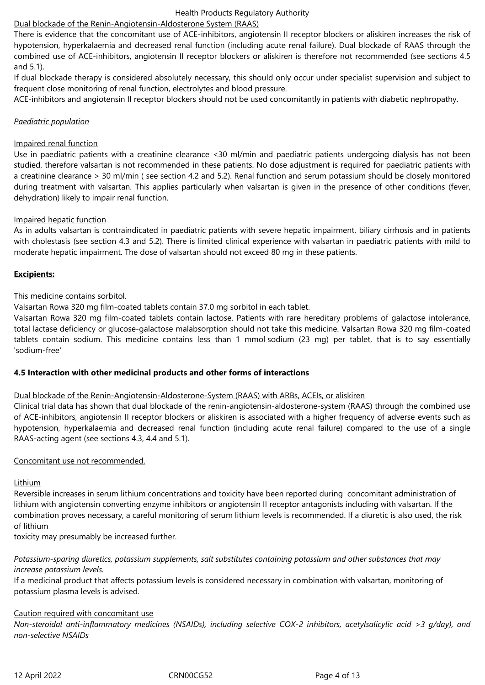# Dual blockade of the Renin-Angiotensin-Aldosterone System (RAAS)

There is evidence that the concomitant use of ACE-inhibitors, angiotensin II receptor blockers or aliskiren increases the risk of hypotension, hyperkalaemia and decreased renal function (including acute renal failure). Dual blockade of RAAS through the combined use of ACE-inhibitors, angiotensin II receptor blockers or aliskiren is therefore not recommended (see sections 4.5 and 5.1).

If dual blockade therapy is considered absolutely necessary, this should only occur under specialist supervision and subject to frequent close monitoring of renal function, electrolytes and blood pressure.

ACE-inhibitors and angiotensin II receptor blockers should not be used concomitantly in patients with diabetic nephropathy.

## *Paediatric population*

## Impaired renal function

Use in paediatric patients with a creatinine clearance <30 ml/min and paediatric patients undergoing dialysis has not been studied, therefore valsartan is not recommended in these patients. No dose adjustment is required for paediatric patients with a creatinine clearance > 30 ml/min ( see section 4.2 and 5.2). Renal function and serum potassium should be closely monitored during treatment with valsartan. This applies particularly when valsartan is given in the presence of other conditions (fever, dehydration) likely to impair renal function.

# Impaired hepatic function

As in adults valsartan is contraindicated in paediatric patients with severe hepatic impairment, biliary cirrhosis and in patients with cholestasis (see section 4.3 and 5.2). There is limited clinical experience with valsartan in paediatric patients with mild to moderate hepatic impairment. The dose of valsartan should not exceed 80 mg in these patients.

# **Excipients:**

# This medicine contains sorbitol.

Valsartan Rowa 320 mg film-coated tablets contain 37.0 mg sorbitol in each tablet.

Valsartan Rowa 320 mg film-coated tablets contain lactose. Patients with rare hereditary problems of galactose intolerance, total lactase deficiency or glucose-galactose malabsorption should not take this medicine. Valsartan Rowa 320 mg film-coated tablets contain sodium. This medicine contains less than 1 mmol sodium (23 mg) per tablet, that is to say essentially 'sodium-free'

## **4.5 Interaction with other medicinal products and other forms of interactions**

## Dual blockade of the Renin-Angiotensin-Aldosterone-System (RAAS) with ARBs, ACEIs, or aliskiren

Clinical trial data has shown that dual blockade of the renin-angiotensin-aldosterone-system (RAAS) through the combined use of ACE-inhibitors, angiotensin II receptor blockers or aliskiren is associated with a higher frequency of adverse events such as hypotension, hyperkalaemia and decreased renal function (including acute renal failure) compared to the use of a single RAAS-acting agent (see sections 4.3, 4.4 and 5.1)*.*

## Concomitant use not recommended.

## Lithium

Reversible increases in serum lithium concentrations and toxicity have been reported during concomitant administration of lithium with angiotensin converting enzyme inhibitors or angiotensin II receptor antagonists including with valsartan. If the combination proves necessary, a careful monitoring of serum lithium levels is recommended. If a diuretic is also used, the risk of lithium

toxicity may presumably be increased further.

# *Potassium-sparing diuretics, potassium supplements, salt substitutes containing potassium and other substances that may increase potassium levels.*

If a medicinal product that affects potassium levels is considered necessary in combination with valsartan, monitoring of potassium plasma levels is advised.

## Caution required with concomitant use

*Non-steroidal anti-inflammatory medicines (NSAIDs), including selective COX-2 inhibitors, acetylsalicylic acid >3 g/day), and non-selective NSAIDs*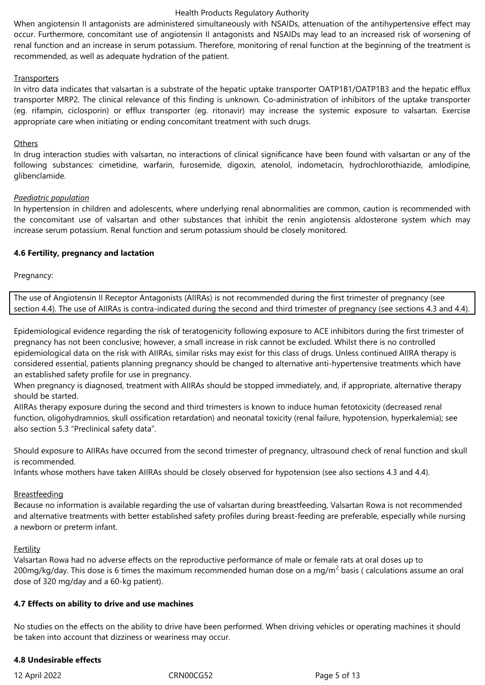When angiotensin II antagonists are administered simultaneously with NSAIDs, attenuation of the antihypertensive effect may occur. Furthermore, concomitant use of angiotensin II antagonists and NSAIDs may lead to an increased risk of worsening of renal function and an increase in serum potassium. Therefore, monitoring of renal function at the beginning of the treatment is recommended, as well as adequate hydration of the patient.

#### **Transporters**

In vitro data indicates that valsartan is a substrate of the hepatic uptake transporter OATP1B1/OATP1B3 and the hepatic efflux transporter MRP2. The clinical relevance of this finding is unknown. Co-administration of inhibitors of the uptake transporter (eg. rifampin, ciclosporin) or efflux transporter (eg. ritonavir) may increase the systemic exposure to valsartan. Exercise appropriate care when initiating or ending concomitant treatment with such drugs.

#### **Others**

In drug interaction studies with valsartan, no interactions of clinical significance have been found with valsartan or any of the following substances: cimetidine, warfarin, furosemide, digoxin, atenolol, indometacin, hydrochlorothiazide, amlodipine, glibenclamide.

## *Paediatric population*

In hypertension in children and adolescents, where underlying renal abnormalities are common, caution is recommended with the concomitant use of valsartan and other substances that inhibit the renin angiotensis aldosterone system which may increase serum potassium. Renal function and serum potassium should be closely monitored.

## **4.6 Fertility, pregnancy and lactation**

Pregnancy:

The use of Angiotensin II Receptor Antagonists (AIIRAs) is not recommended during the first trimester of pregnancy (see section 4.4). The use of AIIRAs is contra-indicated during the second and third trimester of pregnancy (see sections 4.3 and 4.4).

Epidemiological evidence regarding the risk of teratogenicity following exposure to ACE inhibitors during the first trimester of pregnancy has not been conclusive; however, a small increase in risk cannot be excluded. Whilst there is no controlled epidemiological data on the risk with AIIRAs, similar risks may exist for this class of drugs. Unless continued AIIRA therapy is considered essential, patients planning pregnancy should be changed to alternative anti-hypertensive treatments which have an established safety profile for use in pregnancy.

When pregnancy is diagnosed, treatment with AIIRAs should be stopped immediately, and, if appropriate, alternative therapy should be started.

AIIRAs therapy exposure during the second and third trimesters is known to induce human fetotoxicity (decreased renal function, oligohydramnios, skull ossification retardation) and neonatal toxicity (renal failure, hypotension, hyperkalemia); see also section 5.3 "Preclinical safety data".

Should exposure to AIIRAs have occurred from the second trimester of pregnancy, ultrasound check of renal function and skull is recommended.

Infants whose mothers have taken AIIRAs should be closely observed for hypotension (see also sections 4.3 and 4.4).

## Breastfeeding

Because no information is available regarding the use of valsartan during breastfeeding, Valsartan Rowa is not recommended and alternative treatments with better established safety profiles during breast-feeding are preferable, especially while nursing a newborn or preterm infant.

#### Fertility

Valsartan Rowa had no adverse effects on the reproductive performance of male or female rats at oral doses up to 200mg/kg/day. This dose is 6 times the maximum recommended human dose on a mg/m<sup>2</sup> basis ( calculations assume an oral dose of 320 mg/day and a 60-kg patient).

## **4.7 Effects on ability to drive and use machines**

No studies on the effects on the ability to drive have been performed. When driving vehicles or operating machines it should be taken into account that dizziness or weariness may occur.

## **4.8 Undesirable effects**

12 April 2022 CRN00CG52 Page 5 of 13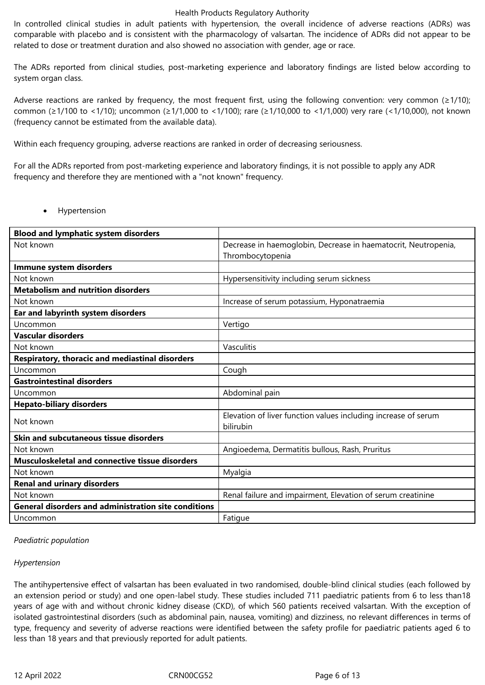In controlled clinical studies in adult patients with hypertension, the overall incidence of adverse reactions (ADRs) was comparable with placebo and is consistent with the pharmacology of valsartan. The incidence of ADRs did not appear to be related to dose or treatment duration and also showed no association with gender, age or race.

The ADRs reported from clinical studies, post-marketing experience and laboratory findings are listed below according to system organ class.

Adverse reactions are ranked by frequency, the most frequent first, using the following convention: very common ( $\geq 1/10$ ); common (≥1/100 to <1/10); uncommon (≥1/1,000 to <1/100); rare (≥1/10,000 to <1/1,000) very rare (<1/10,000), not known (frequency cannot be estimated from the available data).

Within each frequency grouping, adverse reactions are ranked in order of decreasing seriousness.

For all the ADRs reported from post-marketing experience and laboratory findings, it is not possible to apply any ADR frequency and therefore they are mentioned with a "not known" frequency.

Hypertension

| <b>Blood and lymphatic system disorders</b>                 |                                                                             |  |
|-------------------------------------------------------------|-----------------------------------------------------------------------------|--|
| Not known                                                   | Decrease in haemoglobin, Decrease in haematocrit, Neutropenia,              |  |
|                                                             | Thrombocytopenia                                                            |  |
| Immune system disorders                                     |                                                                             |  |
| Not known                                                   | Hypersensitivity including serum sickness                                   |  |
| <b>Metabolism and nutrition disorders</b>                   |                                                                             |  |
| Not known                                                   | Increase of serum potassium, Hyponatraemia                                  |  |
| Ear and labyrinth system disorders                          |                                                                             |  |
| Uncommon                                                    | Vertigo                                                                     |  |
| <b>Vascular disorders</b>                                   |                                                                             |  |
| Not known                                                   | Vasculitis                                                                  |  |
| <b>Respiratory, thoracic and mediastinal disorders</b>      |                                                                             |  |
| Uncommon                                                    | Cough                                                                       |  |
| <b>Gastrointestinal disorders</b>                           |                                                                             |  |
| Uncommon                                                    | Abdominal pain                                                              |  |
| <b>Hepato-biliary disorders</b>                             |                                                                             |  |
| Not known                                                   | Elevation of liver function values including increase of serum<br>bilirubin |  |
| Skin and subcutaneous tissue disorders                      |                                                                             |  |
| Not known                                                   | Angioedema, Dermatitis bullous, Rash, Pruritus                              |  |
| Musculoskeletal and connective tissue disorders             |                                                                             |  |
| Not known                                                   | Myalgia                                                                     |  |
| <b>Renal and urinary disorders</b>                          |                                                                             |  |
| Not known                                                   | Renal failure and impairment, Elevation of serum creatinine                 |  |
| <b>General disorders and administration site conditions</b> |                                                                             |  |
| Uncommon                                                    | Fatigue                                                                     |  |

## *Paediatric population*

## *Hypertension*

The antihypertensive effect of valsartan has been evaluated in two randomised, double-blind clinical studies (each followed by an extension period or study) and one open-label study. These studies included 711 paediatric patients from 6 to less than18 years of age with and without chronic kidney disease (CKD), of which 560 patients received valsartan. With the exception of isolated gastrointestinal disorders (such as abdominal pain, nausea, vomiting) and dizziness, no relevant differences in terms of type, frequency and severity of adverse reactions were identified between the safety profile for paediatric patients aged 6 to less than 18 years and that previously reported for adult patients.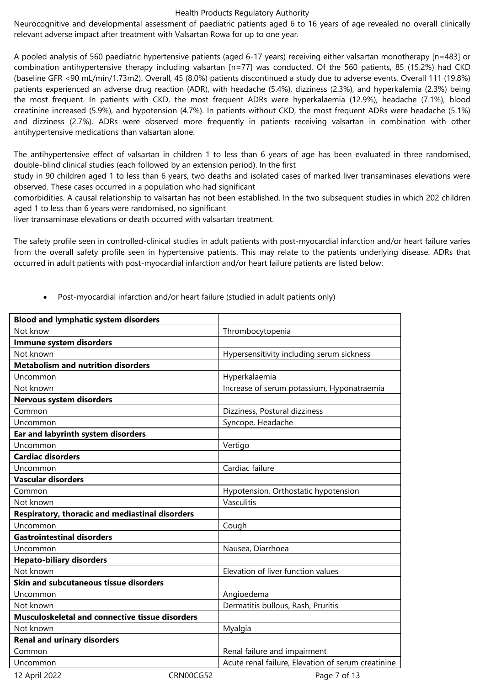Neurocognitive and developmental assessment of paediatric patients aged 6 to 16 years of age revealed no overall clinically relevant adverse impact after treatment with Valsartan Rowa for up to one year.

A pooled analysis of 560 paediatric hypertensive patients (aged 6-17 years) receiving either valsartan monotherapy [n=483] or combination antihypertensive therapy including valsartan [n=77] was conducted. Of the 560 patients, 85 (15.2%) had CKD (baseline GFR <90 mL/min/1.73m2). Overall, 45 (8.0%) patients discontinued a study due to adverse events. Overall 111 (19.8%) patients experienced an adverse drug reaction (ADR), with headache (5.4%), dizziness (2.3%), and hyperkalemia (2.3%) being the most frequent. In patients with CKD, the most frequent ADRs were hyperkalaemia (12.9%), headache (7.1%), blood creatinine increased (5.9%), and hypotension (4.7%). In patients without CKD, the most frequent ADRs were headache (5.1%) and dizziness (2.7%). ADRs were observed more frequently in patients receiving valsartan in combination with other antihypertensive medications than valsartan alone.

The antihypertensive effect of valsartan in children 1 to less than 6 years of age has been evaluated in three randomised, double-blind clinical studies (each followed by an extension period). In the first

study in 90 children aged 1 to less than 6 years, two deaths and isolated cases of marked liver transaminases elevations were observed. These cases occurred in a population who had significant

comorbidities. A causal relationship to valsartan has not been established. In the two subsequent studies in which 202 children aged 1 to less than 6 years were randomised, no significant

liver transaminase elevations or death occurred with valsartan treatment.

The safety profile seen in controlled-clinical studies in adult patients with post-myocardial infarction and/or heart failure varies from the overall safety profile seen in hypertensive patients. This may relate to the patients underlying disease. ADRs that occurred in adult patients with post-myocardial infarction and/or heart failure patients are listed below:

| <b>Blood and lymphatic system disorders</b>            |           |                                                    |
|--------------------------------------------------------|-----------|----------------------------------------------------|
| Not know                                               |           | Thrombocytopenia                                   |
| Immune system disorders                                |           |                                                    |
| Not known                                              |           | Hypersensitivity including serum sickness          |
| <b>Metabolism and nutrition disorders</b>              |           |                                                    |
| Uncommon                                               |           | Hyperkalaemia                                      |
| Not known                                              |           | Increase of serum potassium, Hyponatraemia         |
| Nervous system disorders                               |           |                                                    |
| Common                                                 |           | Dizziness, Postural dizziness                      |
| Uncommon                                               |           | Syncope, Headache                                  |
| Ear and labyrinth system disorders                     |           |                                                    |
| Uncommon                                               |           | Vertigo                                            |
| <b>Cardiac disorders</b>                               |           |                                                    |
| Uncommon                                               |           | Cardiac failure                                    |
| <b>Vascular disorders</b>                              |           |                                                    |
| Common                                                 |           | Hypotension, Orthostatic hypotension               |
| Not known                                              |           | Vasculitis                                         |
| Respiratory, thoracic and mediastinal disorders        |           |                                                    |
| Uncommon                                               |           | Cough                                              |
| <b>Gastrointestinal disorders</b>                      |           |                                                    |
| Uncommon                                               |           | Nausea, Diarrhoea                                  |
| <b>Hepato-biliary disorders</b>                        |           |                                                    |
| Not known                                              |           | Elevation of liver function values                 |
| Skin and subcutaneous tissue disorders                 |           |                                                    |
| Uncommon                                               |           | Angioedema                                         |
| Not known                                              |           | Dermatitis bullous, Rash, Pruritis                 |
| <b>Musculoskeletal and connective tissue disorders</b> |           |                                                    |
| Not known                                              |           | Myalgia                                            |
| <b>Renal and urinary disorders</b>                     |           |                                                    |
| Common                                                 |           | Renal failure and impairment                       |
| Uncommon                                               |           | Acute renal failure, Elevation of serum creatinine |
| 12 April 2022                                          | CRN00CG52 | Page 7 of 13                                       |

Post-myocardial infarction and/or heart failure (studied in adult patients only)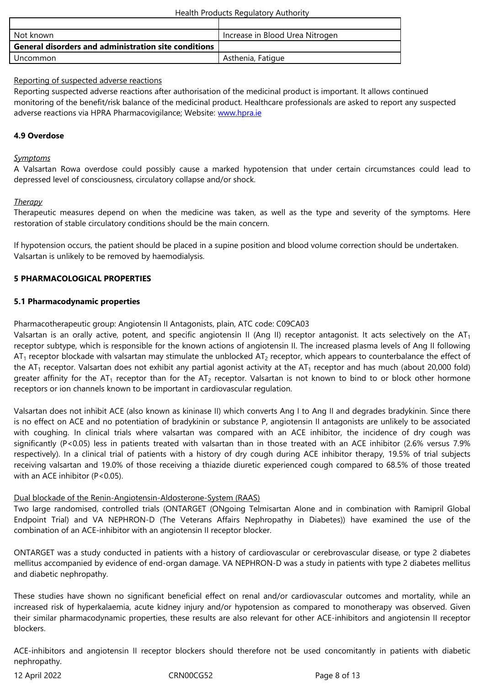| General disorders and administration site conditions |                      |
|------------------------------------------------------|----------------------|
| Uncommon                                             | Fatique<br>Asthenia. |

## Reporting of suspected adverse reactions

Reporting suspected adverse reactions after authorisation of the medicinal product is important. It allows continued monitoring of the benefit/risk balance of the medicinal product. Healthcare professionals are asked to report any suspected adverse reactions via HPRA Pharmacovigilance; Website: www.hpra.ie

## **4.9 Overdose**

#### *Symptoms*

A Valsartan Rowa overdose could possibly cause a marked hypotension that under certain circumstances could lead to depressed level of consciousness, circulatory collapse and/or shock.

#### *Therapy*

Therapeutic measures depend on when the medicine was taken, as well as the type and severity of the symptoms. Here restoration of stable circulatory conditions should be the main concern.

If hypotension occurs, the patient should be placed in a supine position and blood volume correction should be undertaken. Valsartan is unlikely to be removed by haemodialysis.

#### **5 PHARMACOLOGICAL PROPERTIES**

#### **5.1 Pharmacodynamic properties**

Pharmacotherapeutic group: Angiotensin II Antagonists, plain, ATC code: C09CA03

Valsartan is an orally active, potent, and specific angiotensin II (Ang II) receptor antagonist. It acts selectively on the  $AT<sub>1</sub>$ receptor subtype, which is responsible for the known actions of angiotensin II. The increased plasma levels of Ang II following  $AT_1$  receptor blockade with valsartan may stimulate the unblocked  $AT_2$  receptor, which appears to counterbalance the effect of the AT<sub>1</sub> receptor. Valsartan does not exhibit any partial agonist activity at the AT<sub>1</sub> receptor and has much (about 20,000 fold) greater affinity for the  $AT_1$  receptor than for the  $AT_2$  receptor. Valsartan is not known to bind to or block other hormone receptors or ion channels known to be important in cardiovascular regulation.

Valsartan does not inhibit ACE (also known as kininase II) which converts Ang I to Ang II and degrades bradykinin. Since there is no effect on ACE and no potentiation of bradykinin or substance P, angiotensin II antagonists are unlikely to be associated with coughing. In clinical trials where valsartan was compared with an ACE inhibitor, the incidence of dry cough was significantly (P<0.05) less in patients treated with valsartan than in those treated with an ACE inhibitor (2.6% versus 7.9% respectively). In a clinical trial of patients with a history of dry cough during ACE inhibitor therapy, 19.5% of trial subjects receiving valsartan and 19.0% of those receiving a thiazide diuretic experienced cough compared to 68.5% of those treated with an ACE inhibitor (P<0.05).

## Dual blockade of the Renin-Angiotensin-Aldosterone-System (RAAS)

Two large randomised, controlled trials (ONTARGET (ONgoing Telmisartan Alone and in combination with Ramipril Global Endpoint Trial) and VA NEPHRON-D (The Veterans Affairs Nephropathy in Diabetes)) have examined the use of the combination of an ACE-inhibitor with an angiotensin II receptor blocker.

ONTARGET was a study conducted in patients with a history of cardiovascular or cerebrovascular disease, or type 2 diabetes mellitus accompanied by evidence of end-organ damage. VA NEPHRON-D was a study in patients with type 2 diabetes mellitus and diabetic nephropathy.

These studies have shown no significant beneficial effect on renal and/or cardiovascular outcomes and mortality, while an increased risk of hyperkalaemia, acute kidney injury and/or hypotension as compared to monotherapy was observed. Given their similar pharmacodynamic properties, these results are also relevant for other ACE-inhibitors and angiotensin II receptor blockers.

ACE-inhibitors and angiotensin II receptor blockers should therefore not be used concomitantly in patients with diabetic nephropathy.

12 April 2022 CRN00CG52 Page 8 of 13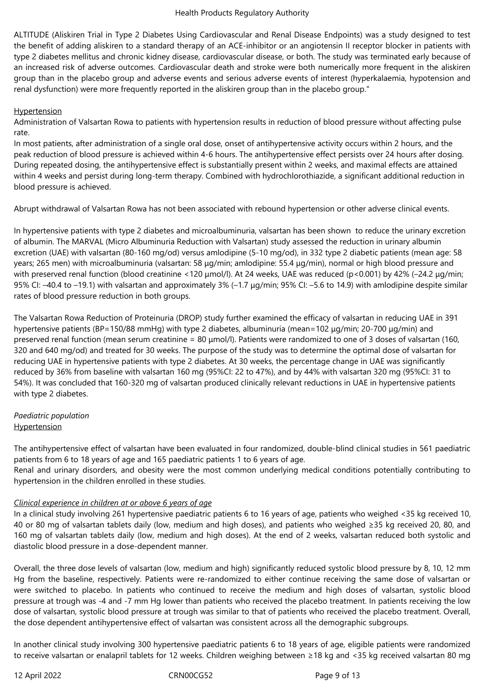ALTITUDE (Aliskiren Trial in Type 2 Diabetes Using Cardiovascular and Renal Disease Endpoints) was a study designed to test the benefit of adding aliskiren to a standard therapy of an ACE-inhibitor or an angiotensin II receptor blocker in patients with type 2 diabetes mellitus and chronic kidney disease, cardiovascular disease, or both. The study was terminated early because of an increased risk of adverse outcomes. Cardiovascular death and stroke were both numerically more frequent in the aliskiren group than in the placebo group and adverse events and serious adverse events of interest (hyperkalaemia, hypotension and renal dysfunction) were more frequently reported in the aliskiren group than in the placebo group."

## **Hypertension**

Administration of Valsartan Rowa to patients with hypertension results in reduction of blood pressure without affecting pulse rate.

In most patients, after administration of a single oral dose, onset of antihypertensive activity occurs within 2 hours, and the peak reduction of blood pressure is achieved within 4-6 hours. The antihypertensive effect persists over 24 hours after dosing. During repeated dosing, the antihypertensive effect is substantially present within 2 weeks, and maximal effects are attained within 4 weeks and persist during long-term therapy. Combined with hydrochlorothiazide, a significant additional reduction in blood pressure is achieved.

Abrupt withdrawal of Valsartan Rowa has not been associated with rebound hypertension or other adverse clinical events.

In hypertensive patients with type 2 diabetes and microalbuminuria, valsartan has been shown to reduce the urinary excretion of albumin. The MARVAL (Micro Albuminuria Reduction with Valsartan) study assessed the reduction in urinary albumin excretion (UAE) with valsartan (80-160 mg/od) versus amlodipine (5-10 mg/od), in 332 type 2 diabetic patients (mean age: 58 years; 265 men) with microalbuminuria (valsartan: 58 μg/min; amlodipine: 55.4 μg/min), normal or high blood pressure and with preserved renal function (blood creatinine <120 μmol/l). At 24 weeks, UAE was reduced (p<0.001) by 42% (–24.2 μg/min; 95% CI: –40.4 to –19.1) with valsartan and approximately 3% (–1.7 μg/min; 95% CI: –5.6 to 14.9) with amlodipine despite similar rates of blood pressure reduction in both groups.

The Valsartan Rowa Reduction of Proteinuria (DROP) study further examined the efficacy of valsartan in reducing UAE in 391 hypertensive patients (BP=150/88 mmHg) with type 2 diabetes, albuminuria (mean=102 μg/min; 20-700 μg/min) and preserved renal function (mean serum creatinine = 80 μmol/l). Patients were randomized to one of 3 doses of valsartan (160, 320 and 640 mg/od) and treated for 30 weeks. The purpose of the study was to determine the optimal dose of valsartan for reducing UAE in hypertensive patients with type 2 diabetes. At 30 weeks, the percentage change in UAE was significantly reduced by 36% from baseline with valsartan 160 mg (95%CI: 22 to 47%), and by 44% with valsartan 320 mg (95%CI: 31 to 54%). It was concluded that 160-320 mg of valsartan produced clinically relevant reductions in UAE in hypertensive patients with type 2 diabetes.

# *Paediatric population* **Hypertension**

The antihypertensive effect of valsartan have been evaluated in four randomized, double-blind clinical studies in 561 paediatric patients from 6 to 18 years of age and 165 paediatric patients 1 to 6 years of age.

Renal and urinary disorders, and obesity were the most common underlying medical conditions potentially contributing to hypertension in the children enrolled in these studies.

## *Clinical experience in children at or above 6 years of age*

In a clinical study involving 261 hypertensive paediatric patients 6 to 16 years of age, patients who weighed <35 kg received 10, 40 or 80 mg of valsartan tablets daily (low, medium and high doses), and patients who weighed ≥35 kg received 20, 80, and 160 mg of valsartan tablets daily (low, medium and high doses). At the end of 2 weeks, valsartan reduced both systolic and diastolic blood pressure in a dose-dependent manner.

Overall, the three dose levels of valsartan (low, medium and high) significantly reduced systolic blood pressure by 8, 10, 12 mm Hg from the baseline, respectively. Patients were re-randomized to either continue receiving the same dose of valsartan or were switched to placebo. In patients who continued to receive the medium and high doses of valsartan, systolic blood pressure at trough was -4 and -7 mm Hg lower than patients who received the placebo treatment. In patients receiving the low dose of valsartan, systolic blood pressure at trough was similar to that of patients who received the placebo treatment. Overall, the dose dependent antihypertensive effect of valsartan was consistent across all the demographic subgroups.

In another clinical study involving 300 hypertensive paediatric patients 6 to 18 years of age, eligible patients were randomized to receive valsartan or enalapril tablets for 12 weeks. Children weighing between ≥18 kg and <35 kg received valsartan 80 mg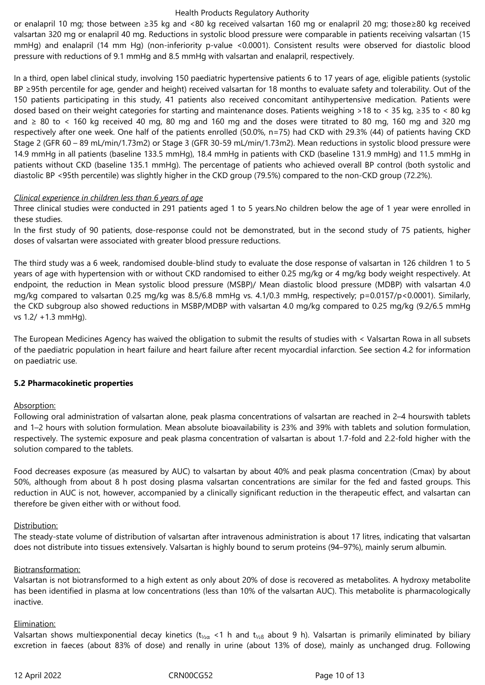or enalapril 10 mg; those between ≥35 kg and <80 kg received valsartan 160 mg or enalapril 20 mg; those≥80 kg received valsartan 320 mg or enalapril 40 mg. Reductions in systolic blood pressure were comparable in patients receiving valsartan (15 mmHg) and enalapril (14 mm Hg) (non-inferiority p-value <0.0001). Consistent results were observed for diastolic blood pressure with reductions of 9.1 mmHg and 8.5 mmHg with valsartan and enalapril, respectively.

In a third, open label clinical study, involving 150 paediatric hypertensive patients 6 to 17 years of age, eligible patients (systolic BP ≥95th percentile for age, gender and height) received valsartan for 18 months to evaluate safety and tolerability. Out of the 150 patients participating in this study, 41 patients also received concomitant antihypertensive medication. Patients were dosed based on their weight categories for starting and maintenance doses. Patients weighing >18 to < 35 kg, ≥35 to < 80 kg and ≥ 80 to < 160 kg received 40 mg, 80 mg and 160 mg and the doses were titrated to 80 mg, 160 mg and 320 mg respectively after one week. One half of the patients enrolled (50.0%, n=75) had CKD with 29.3% (44) of patients having CKD Stage 2 (GFR 60 – 89 mL/min/1.73m2) or Stage 3 (GFR 30-59 mL/min/1.73m2). Mean reductions in systolic blood pressure were 14.9 mmHg in all patients (baseline 133.5 mmHg), 18.4 mmHg in patients with CKD (baseline 131.9 mmHg) and 11.5 mmHg in patients without CKD (baseline 135.1 mmHg). The percentage of patients who achieved overall BP control (both systolic and diastolic BP <95th percentile) was slightly higher in the CKD group (79.5%) compared to the non-CKD group (72.2%).

#### *Clinical experience in children less than 6 years of age*

Three clinical studies were conducted in 291 patients aged 1 to 5 years.No children below the age of 1 year were enrolled in these studies.

In the first study of 90 patients, dose-response could not be demonstrated, but in the second study of 75 patients, higher doses of valsartan were associated with greater blood pressure reductions.

The third study was a 6 week, randomised double-blind study to evaluate the dose response of valsartan in 126 children 1 to 5 years of age with hypertension with or without CKD randomised to either 0.25 mg/kg or 4 mg/kg body weight respectively. At endpoint, the reduction in Mean systolic blood pressure (MSBP)/ Mean diastolic blood pressure (MDBP) with valsartan 4.0 mg/kg compared to valsartan 0.25 mg/kg was 8.5/6.8 mmHg vs. 4.1/0.3 mmHg, respectively; p=0.0157/p<0.0001). Similarly, the CKD subgroup also showed reductions in MSBP/MDBP with valsartan 4.0 mg/kg compared to 0.25 mg/kg (9.2/6.5 mmHg vs 1.2/ +1.3 mmHg).

The European Medicines Agency has waived the obligation to submit the results of studies with < Valsartan Rowa in all subsets of the paediatric population in heart failure and heart failure after recent myocardial infarction. See section 4.2 for information on paediatric use.

## **5.2 Pharmacokinetic properties**

## Absorption:

Following oral administration of valsartan alone, peak plasma concentrations of valsartan are reached in 2–4 hourswith tablets and 1–2 hours with solution formulation. Mean absolute bioavailability is 23% and 39% with tablets and solution formulation, respectively. The systemic exposure and peak plasma concentration of valsartan is about 1.7-fold and 2.2-fold higher with the solution compared to the tablets.

Food decreases exposure (as measured by AUC) to valsartan by about 40% and peak plasma concentration (Cmax) by about 50%, although from about 8 h post dosing plasma valsartan concentrations are similar for the fed and fasted groups. This reduction in AUC is not, however, accompanied by a clinically significant reduction in the therapeutic effect, and valsartan can therefore be given either with or without food.

## Distribution:

The steady-state volume of distribution of valsartan after intravenous administration is about 17 litres, indicating that valsartan does not distribute into tissues extensively. Valsartan is highly bound to serum proteins (94–97%), mainly serum albumin.

#### Biotransformation:

Valsartan is not biotransformed to a high extent as only about 20% of dose is recovered as metabolites. A hydroxy metabolite has been identified in plasma at low concentrations (less than 10% of the valsartan AUC). This metabolite is pharmacologically inactive.

#### Elimination:

Valsartan shows multiexponential decay kinetics ( $t_{\frac{1}{2}a}$  <1 h and  $t_{\frac{1}{2}b}$  about 9 h). Valsartan is primarily eliminated by biliary excretion in faeces (about 83% of dose) and renally in urine (about 13% of dose), mainly as unchanged drug. Following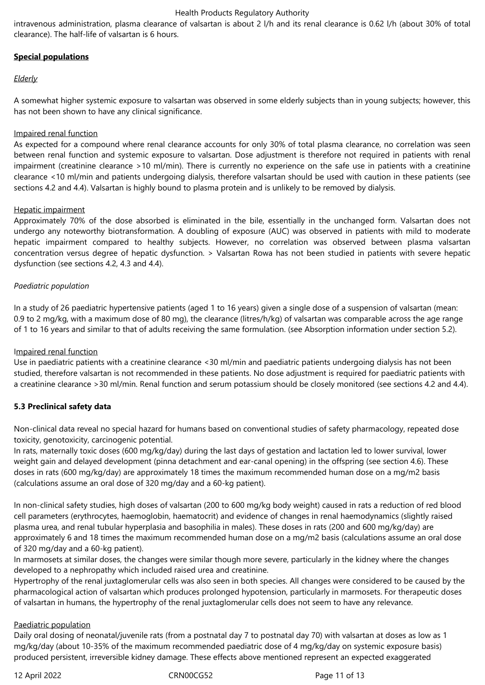intravenous administration, plasma clearance of valsartan is about 2 l/h and its renal clearance is 0.62 l/h (about 30% of total clearance). The half-life of valsartan is 6 hours.

# **Special populations**

# *Elderly*

A somewhat higher systemic exposure to valsartan was observed in some elderly subjects than in young subjects; however, this has not been shown to have any clinical significance.

## Impaired renal function

As expected for a compound where renal clearance accounts for only 30% of total plasma clearance, no correlation was seen between renal function and systemic exposure to valsartan. Dose adjustment is therefore not required in patients with renal impairment (creatinine clearance >10 ml/min). There is currently no experience on the safe use in patients with a creatinine clearance <10 ml/min and patients undergoing dialysis, therefore valsartan should be used with caution in these patients (see sections 4.2 and 4.4). Valsartan is highly bound to plasma protein and is unlikely to be removed by dialysis.

# Hepatic impairment

Approximately 70% of the dose absorbed is eliminated in the bile, essentially in the unchanged form. Valsartan does not undergo any noteworthy biotransformation. A doubling of exposure (AUC) was observed in patients with mild to moderate hepatic impairment compared to healthy subjects. However, no correlation was observed between plasma valsartan concentration versus degree of hepatic dysfunction. > Valsartan Rowa has not been studied in patients with severe hepatic dysfunction (see sections 4.2, 4.3 and 4.4).

# *Paediatric population*

In a study of 26 paediatric hypertensive patients (aged 1 to 16 years) given a single dose of a suspension of valsartan (mean: 0.9 to 2 mg/kg, with a maximum dose of 80 mg), the clearance (litres/h/kg) of valsartan was comparable across the age range of 1 to 16 years and similar to that of adults receiving the same formulation. (see Absorption information under section 5.2).

## Impaired renal function

Use in paediatric patients with a creatinine clearance <30 ml/min and paediatric patients undergoing dialysis has not been studied, therefore valsartan is not recommended in these patients. No dose adjustment is required for paediatric patients with a creatinine clearance >30 ml/min. Renal function and serum potassium should be closely monitored (see sections 4.2 and 4.4).

# **5.3 Preclinical safety data**

Non-clinical data reveal no special hazard for humans based on conventional studies of safety pharmacology, repeated dose toxicity, genotoxicity, carcinogenic potential.

In rats, maternally toxic doses (600 mg/kg/day) during the last days of gestation and lactation led to lower survival, lower weight gain and delayed development (pinna detachment and ear-canal opening) in the offspring (see section 4.6). These doses in rats (600 mg/kg/day) are approximately 18 times the maximum recommended human dose on a mg/m2 basis (calculations assume an oral dose of 320 mg/day and a 60-kg patient).

In non-clinical safety studies, high doses of valsartan (200 to 600 mg/kg body weight) caused in rats a reduction of red blood cell parameters (erythrocytes, haemoglobin, haematocrit) and evidence of changes in renal haemodynamics (slightly raised plasma urea, and renal tubular hyperplasia and basophilia in males). These doses in rats (200 and 600 mg/kg/day) are approximately 6 and 18 times the maximum recommended human dose on a mg/m2 basis (calculations assume an oral dose of 320 mg/day and a 60-kg patient).

In marmosets at similar doses, the changes were similar though more severe, particularly in the kidney where the changes developed to a nephropathy which included raised urea and creatinine.

Hypertrophy of the renal juxtaglomerular cells was also seen in both species. All changes were considered to be caused by the pharmacological action of valsartan which produces prolonged hypotension, particularly in marmosets. For therapeutic doses of valsartan in humans, the hypertrophy of the renal juxtaglomerular cells does not seem to have any relevance.

## Paediatric population

Daily oral dosing of neonatal/juvenile rats (from a postnatal day 7 to postnatal day 70) with valsartan at doses as low as 1 mg/kg/day (about 10-35% of the maximum recommended paediatric dose of 4 mg/kg/day on systemic exposure basis) produced persistent, irreversible kidney damage. These effects above mentioned represent an expected exaggerated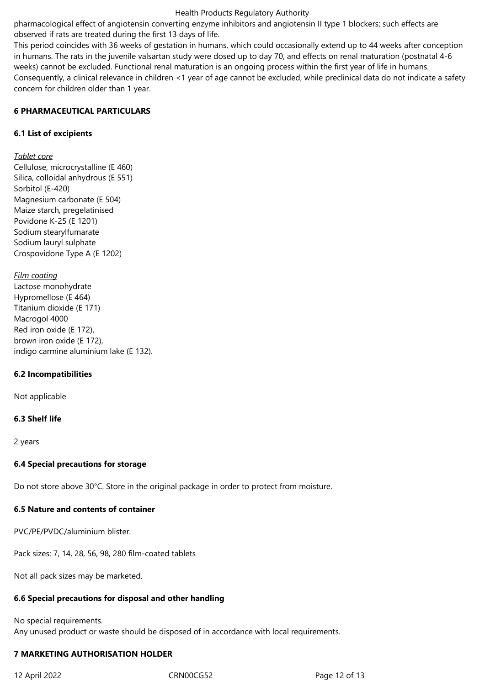pharmacological effect of angiotensin converting enzyme inhibitors and angiotensin II type 1 blockers; such effects are observed if rats are treated during the first 13 days of life.

This period coincides with 36 weeks of gestation in humans, which could occasionally extend up to 44 weeks after conception in humans. The rats in the juvenile valsartan study were dosed up to day 70, and effects on renal maturation (postnatal 4-6 weeks) cannot be excluded. Functional renal maturation is an ongoing process within the first year of life in humans. Consequently, a clinical relevance in children <1 year of age cannot be excluded, while preclinical data do not indicate a safety concern for children older than 1 year.

# **6 PHARMACEUTICAL PARTICULARS**

# **6.1 List of excipients**

# *Tablet core*

Cellulose, microcrystalline (E 460) Silica, colloidal anhydrous (E 551) Sorbitol (E-420) Magnesium carbonate (E 504) Maize starch, pregelatinised Povidone K-25 (E 1201) Sodium stearylfumarate Sodium lauryl sulphate Crospovidone Type A (E 1202)

# *Film coating*

Lactose monohydrate Hypromellose (E 464) Titanium dioxide (E 171) Macrogol 4000 Red iron oxide (E 172), brown iron oxide (E 172), indigo carmine aluminium lake (E 132).

# **6.2 Incompatibilities**

Not applicable

# **6.3 Shelf life**

2 years

# **6.4 Special precautions for storage**

Do not store above 30°C. Store in the original package in order to protect from moisture.

# **6.5 Nature and contents of container**

PVC/PE/PVDC/aluminium blister.

Pack sizes: 7, 14, 28, 56, 98, 280 film-coated tablets

Not all pack sizes may be marketed.

# **6.6 Special precautions for disposal and other handling**

No special requirements. Any unused product or waste should be disposed of in accordance with local requirements.

# **7 MARKETING AUTHORISATION HOLDER**